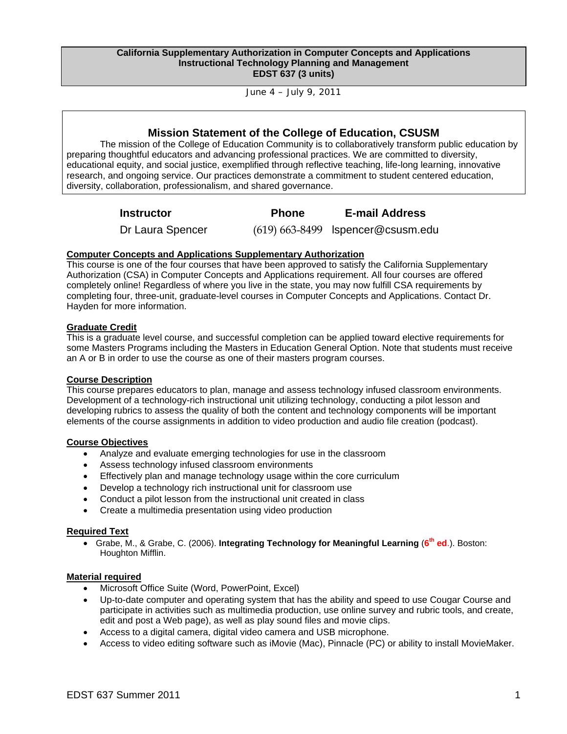#### **California Supplementary Authorization in Computer Concepts and Applications Instructional Technology Planning and Management EDST 637 (3 units)**

June 4 – July 9, 2011

## **Mission Statement of the College of Education, CSUSM**

The mission of the College of Education Community is to collaboratively transform public education by preparing thoughtful educators and advancing professional practices. We are committed to diversity, educational equity, and social justice, exemplified through reflective teaching, life-long learning, innovative research, and ongoing service. Our practices demonstrate a commitment to student centered education, diversity, collaboration, professionalism, and shared governance.

**Instructor Phone E-mail Address** 

Dr Laura Spencer (619) 663-8499 lspencer@csusm.edu

## **Computer Concepts and Applications Supplementary Authorization**

This course is one of the four courses that have been approved to satisfy the California Supplementary Authorization (CSA) in Computer Concepts and Applications requirement. All four courses are offered completely online! Regardless of where you live in the state, you may now fulfill CSA requirements by completing four, three-unit, graduate-level courses in Computer Concepts and Applications. Contact Dr. Hayden for more information.

## **Graduate Credit**

This is a graduate level course, and successful completion can be applied toward elective requirements for some Masters Programs including the Masters in Education General Option. Note that students must receive an A or B in order to use the course as one of their masters program courses.

## **Course Description**

This course prepares educators to plan, manage and assess technology infused classroom environments. Development of a technology-rich instructional unit utilizing technology, conducting a pilot lesson and developing rubrics to assess the quality of both the content and technology components will be important elements of the course assignments in addition to video production and audio file creation (podcast).

### **Course Objectives**

- Analyze and evaluate emerging technologies for use in the classroom
- Assess technology infused classroom environments
- **Effectively plan and manage technology usage within the core curriculum**
- Develop a technology rich instructional unit for classroom use
- Conduct a pilot lesson from the instructional unit created in class
- Create a multimedia presentation using video production

### **Required Text**

 Grabe, M., & Grabe, C. (2006). **Integrating Technology for Meaningful Learning** (**6th ed**.). Boston: Houghton Mifflin.

### **Material required**

- Microsoft Office Suite (Word, PowerPoint, Excel)
- Up-to-date computer and operating system that has the ability and speed to use Cougar Course and participate in activities such as multimedia production, use online survey and rubric tools, and create, edit and post a Web page), as well as play sound files and movie clips.
- Access to a digital camera, digital video camera and USB microphone.
- Access to video editing software such as iMovie (Mac), Pinnacle (PC) or ability to install MovieMaker.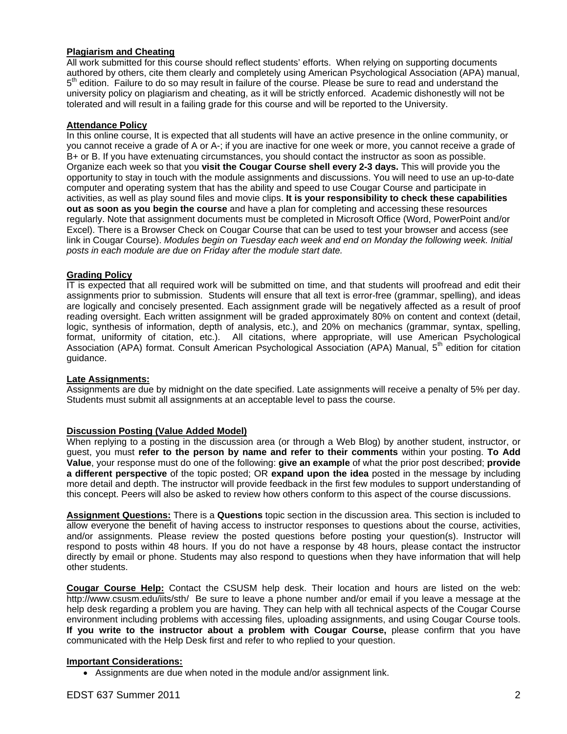## **Plagiarism and Cheating**

All work submitted for this course should reflect students' efforts. When relying on supporting documents authored by others, cite them clearly and completely using American Psychological Association (APA) manual,  $5<sup>th</sup>$  edition. Failure to do so may result in failure of the course. Please be sure to read and understand the university policy on plagiarism and cheating, as it will be strictly enforced. Academic dishonestly will not be tolerated and will result in a failing grade for this course and will be reported to the University.

## **Attendance Policy**

In this online course, It is expected that all students will have an active presence in the online community, or you cannot receive a grade of A or A-; if you are inactive for one week or more, you cannot receive a grade of B+ or B. If you have extenuating circumstances, you should contact the instructor as soon as possible. Organize each week so that you **visit the Cougar Course shell every 2-3 days.** This will provide you the opportunity to stay in touch with the module assignments and discussions. You will need to use an up-to-date computer and operating system that has the ability and speed to use Cougar Course and participate in activities, as well as play sound files and movie clips. **It is your responsibility to check these capabilities out as soon as you begin the course** and have a plan for completing and accessing these resources regularly. Note that assignment documents must be completed in Microsoft Office (Word, PowerPoint and/or Excel). There is a Browser Check on Cougar Course that can be used to test your browser and access (see link in Cougar Course). *Modules begin on Tuesday each week and end on Monday the following week. Initial posts in each module are due on Friday after the module start date.* 

## **Grading Policy**

IT is expected that all required work will be submitted on time, and that students will proofread and edit their assignments prior to submission. Students will ensure that all text is error-free (grammar, spelling), and ideas are logically and concisely presented. Each assignment grade will be negatively affected as a result of proof reading oversight. Each written assignment will be graded approximately 80% on content and context (detail, logic, synthesis of information, depth of analysis, etc.), and 20% on mechanics (grammar, syntax, spelling, format, uniformity of citation, etc.). All citations, where appropriate, will use American Psychological Association (APA) format. Consult American Psychological Association (APA) Manual, 5<sup>th</sup> edition for citation guidance.

### **Late Assignments:**

Assignments are due by midnight on the date specified. Late assignments will receive a penalty of 5% per day. Students must submit all assignments at an acceptable level to pass the course.

## **Discussion Posting (Value Added Model)**

When replying to a posting in the discussion area (or through a Web Blog) by another student, instructor, or guest, you must **refer to the person by name and refer to their comments** within your posting. **To Add Value**, your response must do one of the following: **give an example** of what the prior post described; **provide a different perspective** of the topic posted; OR **expand upon the idea** posted in the message by including more detail and depth. The instructor will provide feedback in the first few modules to support understanding of this concept. Peers will also be asked to review how others conform to this aspect of the course discussions.

**Assignment Questions:** There is a **Questions** topic section in the discussion area. This section is included to allow everyone the benefit of having access to instructor responses to questions about the course, activities, and/or assignments. Please review the posted questions before posting your question(s). Instructor will respond to posts within 48 hours. If you do not have a response by 48 hours, please contact the instructor directly by email or phone. Students may also respond to questions when they have information that will help other students.

**Cougar Course Help:** Contact the CSUSM help desk. Their location and hours are listed on the web: http://www.csusm.edu/iits/sth/ Be sure to leave a phone number and/or email if you leave a message at the help desk regarding a problem you are having. They can help with all technical aspects of the Cougar Course environment including problems with accessing files, uploading assignments, and using Cougar Course tools. **If you write to the instructor about a problem with Cougar Course,** please confirm that you have communicated with the Help Desk first and refer to who replied to your question.

### **Important Considerations:**

Assignments are due when noted in the module and/or assignment link.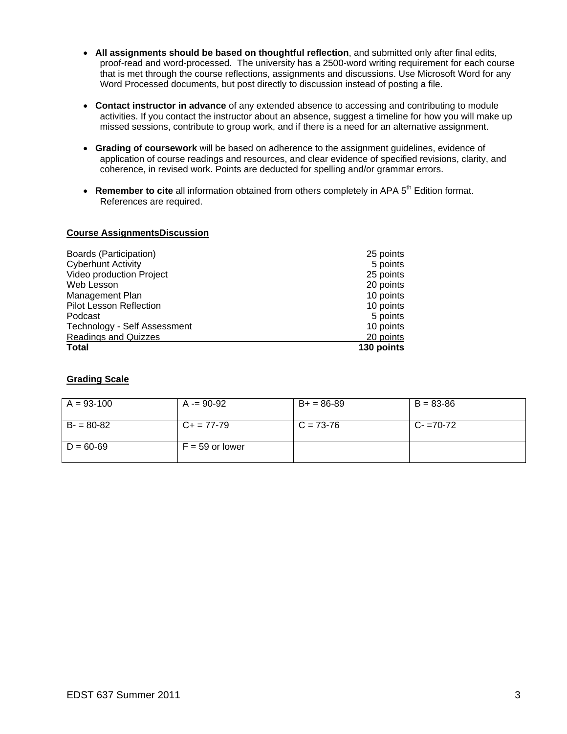- **All assignments should be based on thoughtful reflection**, and submitted only after final edits, proof-read and word-processed. The university has a 2500-word writing requirement for each course that is met through the course reflections, assignments and discussions. Use Microsoft Word for any Word Processed documents, but post directly to discussion instead of posting a file.
- **Contact instructor in advance** of any extended absence to accessing and contributing to module activities. If you contact the instructor about an absence, suggest a timeline for how you will make up missed sessions, contribute to group work, and if there is a need for an alternative assignment.
- **Grading of coursework** will be based on adherence to the assignment guidelines, evidence of application of course readings and resources, and clear evidence of specified revisions, clarity, and coherence, in revised work. Points are deducted for spelling and/or grammar errors.
- Remember to cite all information obtained from others completely in APA 5<sup>th</sup> Edition format. References are required.

### **Course AssignmentsDiscussion**

| Boards (Participation)         | 25 points  |
|--------------------------------|------------|
| <b>Cyberhunt Activity</b>      | 5 points   |
| Video production Project       | 25 points  |
| Web Lesson                     | 20 points  |
| Management Plan                | 10 points  |
| <b>Pilot Lesson Reflection</b> | 10 points  |
| Podcast                        | 5 points   |
| Technology - Self Assessment   | 10 points  |
| <b>Readings and Quizzes</b>    | 20 points  |
| <b>Total</b>                   | 130 points |

## **Grading Scale**

| $A = 93-100$  | A -= 90-92        | $B+ = 86-89$ | $B = 83 - 86$ |
|---------------|-------------------|--------------|---------------|
| $B - 80 - 82$ | $C_{+}$ = 77-79   | $C = 73-76$  | $C - 70-72$   |
| $D = 60 - 69$ | $F = 59$ or lower |              |               |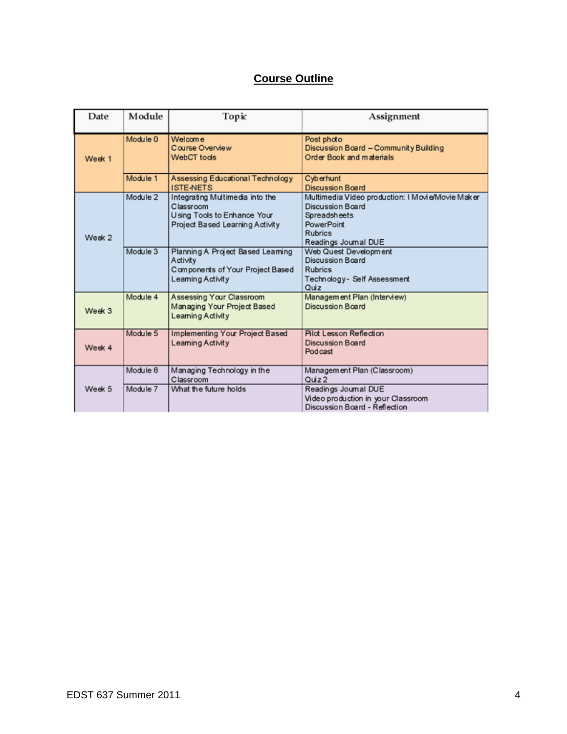# **Course Outline**

| Date   | Module   | Торіс                                                                                                          | Assignment                                                                                                                                   |
|--------|----------|----------------------------------------------------------------------------------------------------------------|----------------------------------------------------------------------------------------------------------------------------------------------|
| Week 1 | Module 0 | Welcome<br>Course Overview<br>WebCT tools                                                                      | Post photo<br>Discussion Board - Community Building<br>Order Book and materials                                                              |
|        | Module 1 | Assessing Educational Technology<br><b>ISTE-NETS</b>                                                           | Cyberhunt<br><b>Discussion Board</b>                                                                                                         |
| Week 2 | Module 2 | Integrating Multimedia into the<br>Classroom<br>Using Tools to Enhance Your<br>Project Based Learning Activity | Multimedia Video production: I Movie/Movie Maker<br>Discussion Board<br>Spreadsheets<br>PowerPoint<br><b>Rubrics</b><br>Readings Journal DUE |
|        | Module 3 | Planning A Project Based Learning<br>Activity<br>Components of Your Project Based<br>Leaming Activity          | Web Quest Development<br><b>Discussion Board</b><br><b>Rubrics</b><br>Technology - Self Assessment<br>Quiz                                   |
| Week 3 | Module 4 | Assessing Your Classroom<br>Managing Your Project Based<br>Leaming Activity                                    | Management Plan (Interview)<br>Discussion Board                                                                                              |
| Week 4 | Module 5 | Implementing Your Project Based<br>Leaming Activity                                                            | Pilot Lesson Reflection<br><b>Discussion Board</b><br>Podcast                                                                                |
|        | Module 6 | Managing Technology in the<br>Classroom                                                                        | Management Plan (Classroom)<br>Quiz <sub>2</sub>                                                                                             |
| Week 5 | Module 7 | What the future holds                                                                                          | Readings Journal DUE<br>Video production in your Classroom<br>Discussion Board - Reflection                                                  |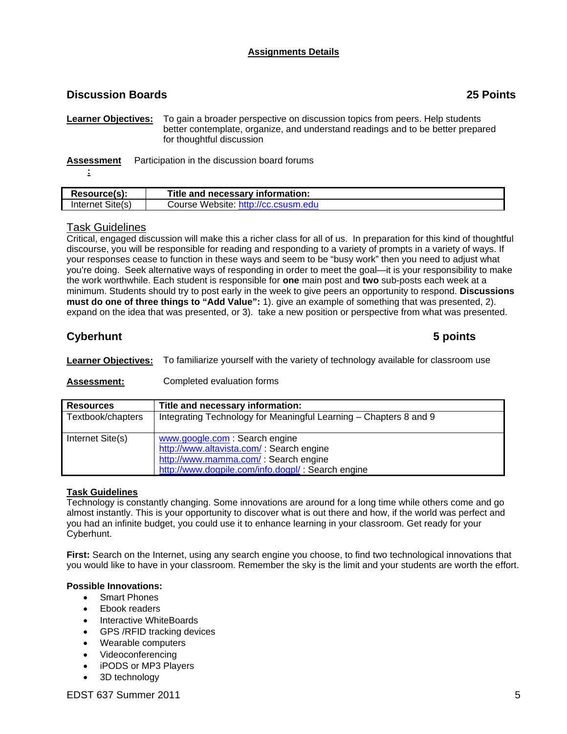## **Assignments Details**

## **Discussion Boards 25 Points**

**Learner Objectives:** To gain a broader perspective on discussion topics from peers. Help students better contemplate, organize, and understand readings and to be better prepared for thoughtful discussion

**Assessment** Participation in the discussion board forums

**:** 

| <b>Resource(s):</b>    | Title and necessary information:    |
|------------------------|-------------------------------------|
| Internet Site(s)       | Course Website: http://cc.csusm.edu |
|                        |                                     |
| <b>Task Guidelines</b> |                                     |

Critical, engaged discussion will make this a richer class for all of us. In preparation for this kind of thoughtful discourse, you will be responsible for reading and responding to a variety of prompts in a variety of ways. If your responses cease to function in these ways and seem to be "busy work" then you need to adjust what you're doing. Seek alternative ways of responding in order to meet the goal—it is your responsibility to make the work worthwhile. Each student is responsible for **one** main post and **two** sub-posts each week at a minimum. Students should try to post early in the week to give peers an opportunity to respond. **Discussions must do one of three things to "Add Value":** 1). give an example of something that was presented, 2). expand on the idea that was presented, or 3). take a new position or perspective from what was presented.

## **Cyberhunt 5 points**

**Learner Objectives:** To familiarize yourself with the variety of technology available for classroom use

## **Assessment:** Completed evaluation forms

| <b>Resources</b>  | Title and necessary information:                                  |
|-------------------|-------------------------------------------------------------------|
| Textbook/chapters | Integrating Technology for Meaningful Learning - Chapters 8 and 9 |
| Internet Site(s)  | www.google.com: Search engine                                     |
|                   | http://www.altavista.com/: Search engine                          |
|                   | http://www.mamma.com/: Search engine                              |
|                   | http://www.dogpile.com/info.dogpl/: Search engine                 |

## **Task Guidelines**

Technology is constantly changing. Some innovations are around for a long time while others come and go almost instantly. This is your opportunity to discover what is out there and how, if the world was perfect and you had an infinite budget, you could use it to enhance learning in your classroom. Get ready for your Cyberhunt.

**First:** Search on the Internet, using any search engine you choose, to find two technological innovations that you would like to have in your classroom. Remember the sky is the limit and your students are worth the effort.

## **Possible Innovations:**

- Smart Phones
- Ebook readers
- Interactive WhiteBoards
- GPS / RFID tracking devices
- Wearable computers
- Videoconferencing
- iPODS or MP3 Players
- 3D technology

EDST 637 Summer 2011 **5**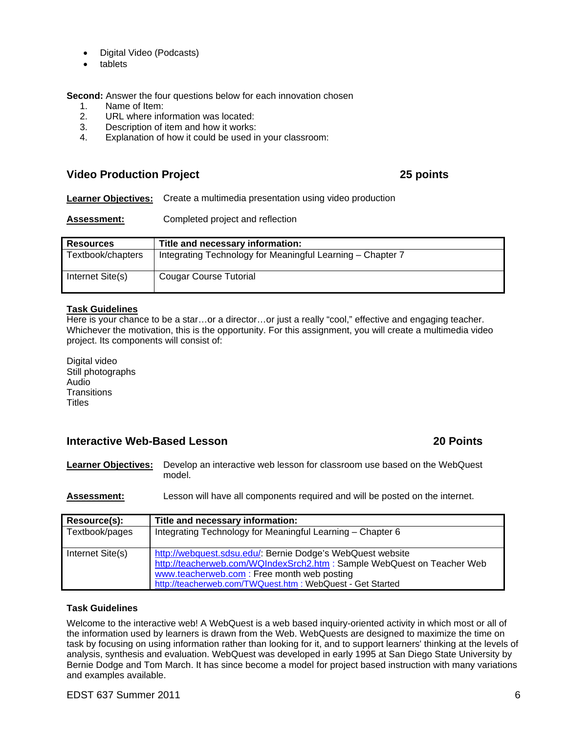- Digital Video (Podcasts)
- tablets

**Second:** Answer the four questions below for each innovation chosen

- 1. Name of Item:
- 2. URL where information was located:
- 3. Description of item and how it works:
- 4. Explanation of how it could be used in your classroom:

## **Video Production Project 25 points**

**Learner Objectives:** Create a multimedia presentation using video production

**Assessment:** Completed project and reflection

| <b>Resources</b>  | Title and necessary information:                           |
|-------------------|------------------------------------------------------------|
| Textbook/chapters | Integrating Technology for Meaningful Learning - Chapter 7 |
| Internet Site(s)  | Cougar Course Tutorial                                     |

## **Task Guidelines**

Here is your chance to be a star…or a director…or just a really "cool," effective and engaging teacher. Whichever the motivation, this is the opportunity. For this assignment, you will create a multimedia video project. Its components will consist of:

Digital video Still photographs Audio **Transitions Titles** 

## **Interactive Web-Based Lesson 20 Points**

**Learner Objectives:** Develop an interactive web lesson for classroom use based on the WebQuest model.

**Assessment:** Lesson will have all components required and will be posted on the internet.

| Resource(s):     | Title and necessary information:                                                                                                                                                                                                                  |
|------------------|---------------------------------------------------------------------------------------------------------------------------------------------------------------------------------------------------------------------------------------------------|
| Textbook/pages   | Integrating Technology for Meaningful Learning - Chapter 6                                                                                                                                                                                        |
| Internet Site(s) | http://webquest.sdsu.edu/: Bernie Dodge's WebQuest website<br>http://teacherweb.com/WQIndexSrch2.htm : Sample WebQuest on Teacher Web<br>www.teacherweb.com: Free month web posting<br>http://teacherweb.com/TWQuest.htm : WebQuest - Get Started |

## **Task Guidelines**

Welcome to the interactive web! A WebQuest is a web based inquiry-oriented activity in which most or all of the information used by learners is drawn from the Web. WebQuests are designed to maximize the time on task by focusing on using information rather than looking for it, and to support learners' thinking at the levels of analysis, synthesis and evaluation. WebQuest was developed in early 1995 at San Diego State University by Bernie Dodge and Tom March. It has since become a model for project based instruction with many variations and examples available.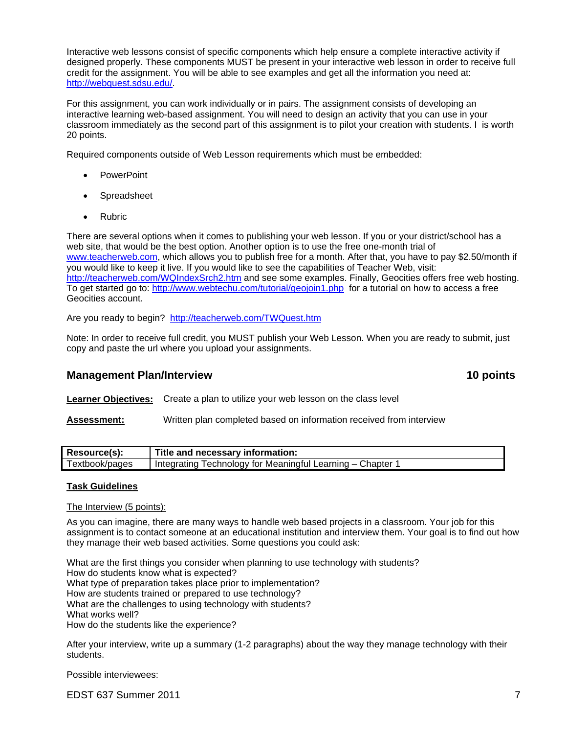Interactive web lessons consist of specific components which help ensure a complete interactive activity if designed properly. These components MUST be present in your interactive web lesson in order to receive full credit for the assignment. You will be able to see examples and get all the information you need at: http://webquest.sdsu.edu/.

For this assignment, you can work individually or in pairs. The assignment consists of developing an interactive learning web-based assignment. You will need to design an activity that you can use in your classroom immediately as the second part of this assignment is to pilot your creation with students. I is worth 20 points.

Required components outside of Web Lesson requirements which must be embedded:

- **PowerPoint**
- Spreadsheet
- Rubric

To get started go to: http://www.webtechu.com/tutorial/geojoin1.php for a tutorial on how to access a free There are several options when it comes to publishing your web lesson. If you or your district/school has a web site, that would be the best option. Another option is to use the free one-month trial of www.teacherweb.com, which allows you to publish free for a month. After that, you have to pay \$2.50/month if you would like to keep it live. If you would like to see the capabilities of Teacher Web, visit: http://teacherweb.com/WQIndexSrch2.htm and see some examples. Finally, Geocities offers free web hosting. Geocities account.

Are you ready to begin? http://teacherweb.com/TWQuest.htm

Note: In order to receive full credit, you MUST publish your Web Lesson. When you are ready to submit, just copy and paste the url where you upload your assignments.

## **Management Plan/Interview 10 points in the set of the set of the set of the set of the set of the set of the set of the set of the set of the set of the set of the set of the set of the set of the set of the set of the se**

**Learner Objectives:** Create a plan to utilize your web lesson on the class level

## **Assessment:** Written plan completed based on information received from interview

| Resource(s):   | Title and necessary information:                                |
|----------------|-----------------------------------------------------------------|
| Textbook/pages | <b>Integrating Technology for Meaningful Learning – Chapter</b> |

## **Task Guidelines**

The Interview (5 points):

As you can imagine, there are many ways to handle web based projects in a classroom. Your job for this assignment is to contact someone at an educational institution and interview them. Your goal is to find out how they manage their web based activities. Some questions you could ask:

What are the first things you consider when planning to use technology with students? How do students know what is expected? What type of preparation takes place prior to implementation? How are students trained or prepared to use technology? What are the challenges to using technology with students? What works well? How do the students like the experience?

After your interview, write up a summary (1-2 paragraphs) about the way they manage technology with their students.

Possible interviewees:

EDST 637 Summer 2011 7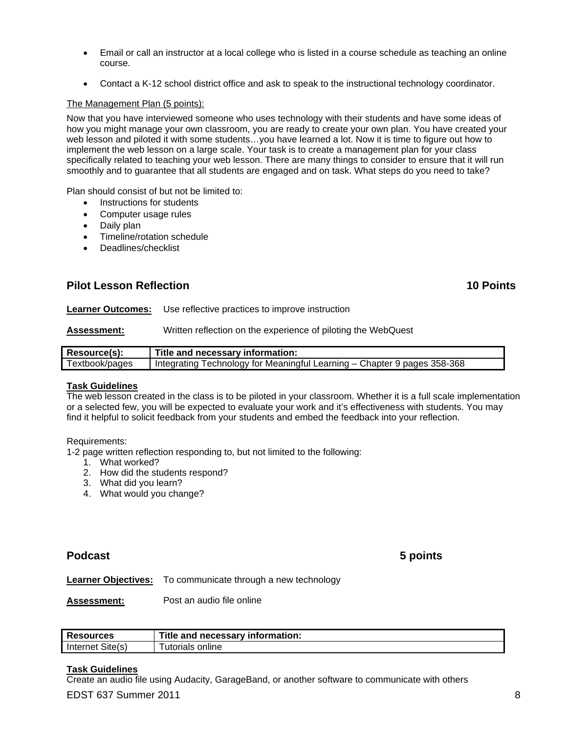- Email or call an instructor at a local college who is listed in a course schedule as teaching an online course.
- Contact a K-12 school district office and ask to speak to the instructional technology coordinator.

## The Management Plan (5 points):

Now that you have interviewed someone who uses technology with their students and have some ideas of how you might manage your own classroom, you are ready to create your own plan. You have created your web lesson and piloted it with some students…you have learned a lot. Now it is time to figure out how to implement the web lesson on a large scale. Your task is to create a management plan for your class specifically related to teaching your web lesson. There are many things to consider to ensure that it will run smoothly and to guarantee that all students are engaged and on task. What steps do you need to take?

Plan should consist of but not be limited to:

- Instructions for students
- Computer usage rules
- Daily plan
- Timeline/rotation schedule
- Deadlines/checklist

## **Pilot Lesson Reflection 10 Points**

**Learner Outcomes:** Use reflective practices to improve instruction

**Assessment:** Written reflection on the experience of piloting the WebQuest

| Resource(s):   | Title and necessary information:                                           |
|----------------|----------------------------------------------------------------------------|
| Textbook/pages | I Integrating Technology for Meaningful Learning - Chapter 9 pages 358-368 |

### **Task Guidelines**

The web lesson created in the class is to be piloted in your classroom. Whether it is a full scale implementation or a selected few, you will be expected to evaluate your work and it's effectiveness with students. You may find it helpful to solicit feedback from your students and embed the feedback into your reflection.

#### Requirements:

1-2 page written reflection responding to, but not limited to the following:

- 1. What worked?
- 2. How did the students respond?
- 3. What did you learn?
- 4. What would you change?

## **Podcast 5 points**

**Learner Objectives:** To communicate through a new technology

**Assessment:** Post an audio file online

| <b>Resources</b> | Title and L<br>I necessary information: |
|------------------|-----------------------------------------|
| Internet Site(s) | online<br>utorials                      |

### **Task Guidelines**

Create an audio file using Audacity, GarageBand, or another software to communicate with others